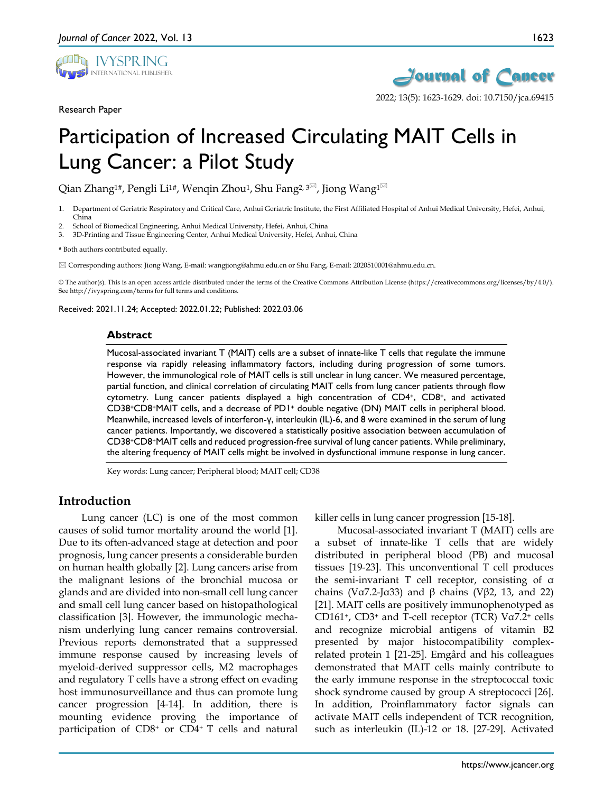

Research Paper



2022; 13(5): 1623-1629. doi: 10.7150/jca.69415

# Participation of Increased Circulating MAIT Cells in Lung Cancer: a Pilot Study

Qian Zhang<sup>1#</sup>, Pengli Li<sup>1#</sup>, Wenqin Zhou<sup>1</sup>, Shu Fang<sup>2, 3 $\boxtimes$ , Jiong Wang<sup>1 $\boxtimes$ </sup></sup>

- 1. Department of Geriatric Respiratory and Critical Care, Anhui Geriatric Institute, the First Affiliated Hospital of Anhui Medical University, Hefei, Anhui, China
- 2. School of Biomedical Engineering, Anhui Medical University, Hefei, Anhui, China
- 3. 3D-Printing and Tissue Engineering Center, Anhui Medical University, Hefei, Anhui, China

# Both authors contributed equally.

Corresponding authors: Jiong Wang, E-mail: wangjiong@ahmu.edu.cn or Shu Fang, E-mail: 2020510001@ahmu.edu.cn.

© The author(s). This is an open access article distributed under the terms of the Creative Commons Attribution License (https://creativecommons.org/licenses/by/4.0/). See http://ivyspring.com/terms for full terms and conditions.

Received: 2021.11.24; Accepted: 2022.01.22; Published: 2022.03.06

#### **Abstract**

Mucosal-associated invariant T (MAIT) cells are a subset of innate-like T cells that regulate the immune response via rapidly releasing inflammatory factors, including during progression of some tumors. However, the immunological role of MAIT cells is still unclear in lung cancer. We measured percentage, partial function, and clinical correlation of circulating MAIT cells from lung cancer patients through flow cytometry. Lung cancer patients displayed a high concentration of CD4+, CD8+, and activated CD38+CD8+MAIT cells, and a decrease of PD1+ double negative (DN) MAIT cells in peripheral blood. Meanwhile, increased levels of interferon-γ, interleukin (IL)-6, and 8 were examined in the serum of lung cancer patients. Importantly, we discovered a statistically positive association between accumulation of CD38+CD8+MAIT cells and reduced progression-free survival of lung cancer patients. While preliminary, the altering frequency of MAIT cells might be involved in dysfunctional immune response in lung cancer.

Key words: Lung cancer; Peripheral blood; MAIT cell; CD38

## **Introduction**

Lung cancer (LC) is one of the most common causes of solid tumor mortality around the world [1]. Due to its often-advanced stage at detection and poor prognosis, lung cancer presents a considerable burden on human health globally [2]. Lung cancers arise from the malignant lesions of the bronchial mucosa or glands and are divided into non-small cell lung cancer and small cell lung cancer based on histopathological classification [3]. However, the immunologic mechanism underlying lung cancer remains controversial. Previous reports demonstrated that a suppressed immune response caused by increasing levels of myeloid-derived suppressor cells, M2 macrophages and regulatory T cells have a strong effect on evading host immunosurveillance and thus can promote lung cancer progression [4-14]. In addition, there is mounting evidence proving the importance of participation of CD8+ or CD4+ T cells and natural

killer cells in lung cancer progression [15-18].

Mucosal-associated invariant T (MAIT) cells are a subset of innate-like T cells that are widely distributed in peripheral blood (PB) and mucosal tissues [19-23]. This unconventional T cell produces the semi-invariant T cell receptor, consisting of α chains (Vα7.2-Jα33) and β chains (Vβ2, 13, and 22) [21]. MAIT cells are positively immunophenotyped as CD161+, CD3+ and T-cell receptor (TCR) Vα7.2<sup>+</sup> cells and recognize microbial antigens of vitamin B2 presented by major histocompatibility complexrelated protein 1 [21-25]. Emgård and his colleagues demonstrated that MAIT cells mainly contribute to the early immune response in the streptococcal toxic shock syndrome caused by group A streptococci [26]. In addition, Proinflammatory factor signals can activate MAIT cells independent of TCR recognition, such as interleukin (IL)-12 or 18. [27-29]. Activated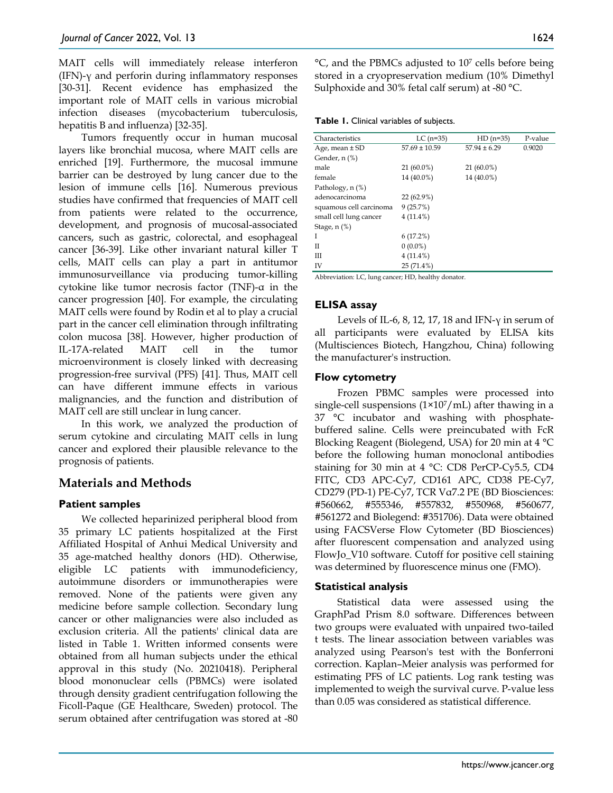MAIT cells will immediately release interferon (IFN)- $\gamma$  and perforin during inflammatory responses [30-31]. Recent evidence has emphasized the important role of MAIT cells in various microbial infection diseases (mycobacterium tuberculosis, hepatitis B and influenza) [32-35].

Tumors frequently occur in human mucosal layers like bronchial mucosa, where MAIT cells are enriched [19]. Furthermore, the mucosal immune barrier can be destroyed by lung cancer due to the lesion of immune cells [16]. Numerous previous studies have confirmed that frequencies of MAIT cell from patients were related to the occurrence, development, and prognosis of mucosal-associated cancers, such as gastric, colorectal, and esophageal cancer [36-39]. Like other invariant natural killer T cells, MAIT cells can play a part in antitumor immunosurveillance via producing tumor-killing cytokine like tumor necrosis factor (TNF)-α in the cancer progression [40]. For example, the circulating MAIT cells were found by Rodin et al to play a crucial part in the cancer cell elimination through infiltrating colon mucosa [38]. However, higher production of IL-17A-related MAIT cell in the tumor microenvironment is closely linked with decreasing progression-free survival (PFS) [41]. Thus, MAIT cell can have different immune effects in various malignancies, and the function and distribution of MAIT cell are still unclear in lung cancer.

In this work, we analyzed the production of serum cytokine and circulating MAIT cells in lung cancer and explored their plausible relevance to the prognosis of patients.

# **Materials and Methods**

## **Patient samples**

We collected heparinized peripheral blood from 35 primary LC patients hospitalized at the First Affiliated Hospital of Anhui Medical University and 35 age-matched healthy donors (HD). Otherwise, eligible LC patients with immunodeficiency, autoimmune disorders or immunotherapies were removed. None of the patients were given any medicine before sample collection. Secondary lung cancer or other malignancies were also included as exclusion criteria. All the patients' clinical data are listed in Table 1. Written informed consents were obtained from all human subjects under the ethical approval in this study (No. 20210418). Peripheral blood mononuclear cells (PBMCs) were isolated through density gradient centrifugation following the Ficoll-Paque (GE Healthcare, Sweden) protocol. The serum obtained after centrifugation was stored at -80

°C, and the PBMCs adjusted to 107 cells before being stored in a cryopreservation medium (10% Dimethyl Sulphoxide and 30% fetal calf serum) at -80 °C.

**Table 1.** Clinical variables of subjects.

| Characteristics         | $LC$ (n=35)       | $HD(n=35)$       | P-value |
|-------------------------|-------------------|------------------|---------|
| Age, mean ± SD          | $57.69 \pm 10.59$ | $57.94 \pm 6.29$ | 0.9020  |
| Gender, n (%)           |                   |                  |         |
| male                    | 21 (60.0%)        | 21 (60.0%)       |         |
| female                  | 14 (40.0%)        | 14 (40.0%)       |         |
| Pathology, n (%)        |                   |                  |         |
| adenocarcinoma          | $22(62.9\%)$      |                  |         |
| squamous cell carcinoma | 9(25.7%)          |                  |         |
| small cell lung cancer  | $4(11.4\%)$       |                  |         |
| Stage, n (%)            |                   |                  |         |
| Ī                       | 6(17.2%)          |                  |         |
| П                       | $0(0.0\%)$        |                  |         |
| Ш                       | $4(11.4\%)$       |                  |         |
| IV                      | $25(71.4\%)$      |                  |         |
|                         |                   |                  |         |

Abbreviation: LC, lung cancer; HD, healthy donator.

## **ELISA assay**

Levels of IL-6, 8, 12, 17, 18 and IFN-γ in serum of all participants were evaluated by ELISA kits (Multisciences Biotech, Hangzhou, China) following the manufacturer's instruction.

#### **Flow cytometry**

Frozen PBMC samples were processed into single-cell suspensions  $(1\times10^7/\text{mL})$  after thawing in a 37 °C incubator and washing with phosphatebuffered saline. Cells were preincubated with FcR Blocking Reagent (Biolegend, USA) for 20 min at 4 °C before the following human monoclonal antibodies staining for 30 min at 4 °C: CD8 PerCP-Cy5.5, CD4 FITC, CD3 APC-Cy7, CD161 APC, CD38 PE-Cy7, CD279 (PD-1) PE-Cy7, TCR Vα7.2 PE (BD Biosciences: #560662, #555346, #557832, #550968, #560677, #561272 and Biolegend: #351706). Data were obtained using FACSVerse Flow Cytometer (BD Biosciences) after fluorescent compensation and analyzed using FlowJo\_V10 software. Cutoff for positive cell staining was determined by fluorescence minus one (FMO).

## **Statistical analysis**

Statistical data were assessed using the GraphPad Prism 8.0 software. Differences between two groups were evaluated with unpaired two-tailed t tests. The linear association between variables was analyzed using Pearson's test with the Bonferroni correction. Kaplan–Meier analysis was performed for estimating PFS of LC patients. Log rank testing was implemented to weigh the survival curve. P-value less than 0.05 was considered as statistical difference.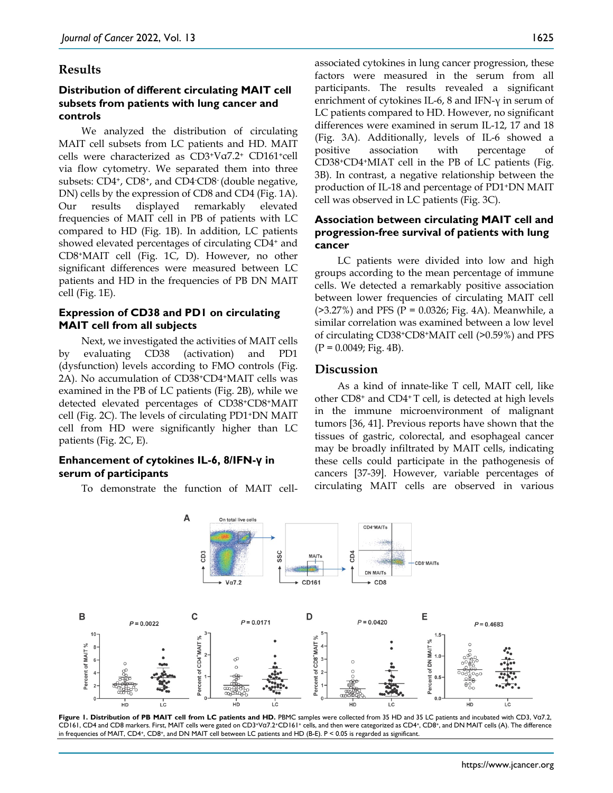#### **Results**

## **Distribution of different circulating MAIT cell subsets from patients with lung cancer and controls**

We analyzed the distribution of circulating MAIT cell subsets from LC patients and HD. MAIT cells were characterized as CD3+Vα7.2<sup>+</sup> CD161+cell via flow cytometry. We separated them into three subsets: CD4+, CD8+, and CD4- CD8- (double negative, DN) cells by the expression of CD8 and CD4 (Fig. 1A). Our results displayed remarkably elevated frequencies of MAIT cell in PB of patients with LC compared to HD (Fig. 1B). In addition, LC patients showed elevated percentages of circulating CD4+ and CD8+MAIT cell (Fig. 1C, D). However, no other significant differences were measured between LC patients and HD in the frequencies of PB DN MAIT cell (Fig. 1E).

## **Expression of CD38 and PD1 on circulating MAIT cell from all subjects**

Next, we investigated the activities of MAIT cells by evaluating CD38 (activation) and PD1 (dysfunction) levels according to FMO controls (Fig. 2A). No accumulation of CD38+CD4+MAIT cells was examined in the PB of LC patients (Fig. 2B), while we detected elevated percentages of CD38+CD8+MAIT cell (Fig. 2C). The levels of circulating PD1+DN MAIT cell from HD were significantly higher than LC patients (Fig. 2C, E).

#### **Enhancement of cytokines IL-6, 8/IFN-γ in serum of participants**

To demonstrate the function of MAIT cell-

associated cytokines in lung cancer progression, these factors were measured in the serum from all participants. The results revealed a significant enrichment of cytokines IL-6, 8 and IFN-γ in serum of LC patients compared to HD. However, no significant differences were examined in serum IL-12, 17 and 18 (Fig. 3A). Additionally, levels of IL-6 showed a positive association with percentage of CD38+CD4+MIAT cell in the PB of LC patients (Fig. 3B). In contrast, a negative relationship between the production of IL-18 and percentage of PD1+DN MAIT cell was observed in LC patients (Fig. 3C).

## **Association between circulating MAIT cell and progression-free survival of patients with lung cancer**

LC patients were divided into low and high groups according to the mean percentage of immune cells. We detected a remarkably positive association between lower frequencies of circulating MAIT cell  $($ >3.27%) and PFS (P = 0.0326; Fig. 4A). Meanwhile, a similar correlation was examined between a low level of circulating CD38+CD8+MAIT cell (>0.59%) and PFS  $(P = 0.0049; Fig. 4B).$ 

## **Discussion**

As a kind of innate-like T cell, MAIT cell, like other CD8+ and CD4+ T cell, is detected at high levels in the immune microenvironment of malignant tumors [36, 41]. Previous reports have shown that the tissues of gastric, colorectal, and esophageal cancer may be broadly infiltrated by MAIT cells, indicating these cells could participate in the pathogenesis of cancers [37-39]. However, variable percentages of circulating MAIT cells are observed in various



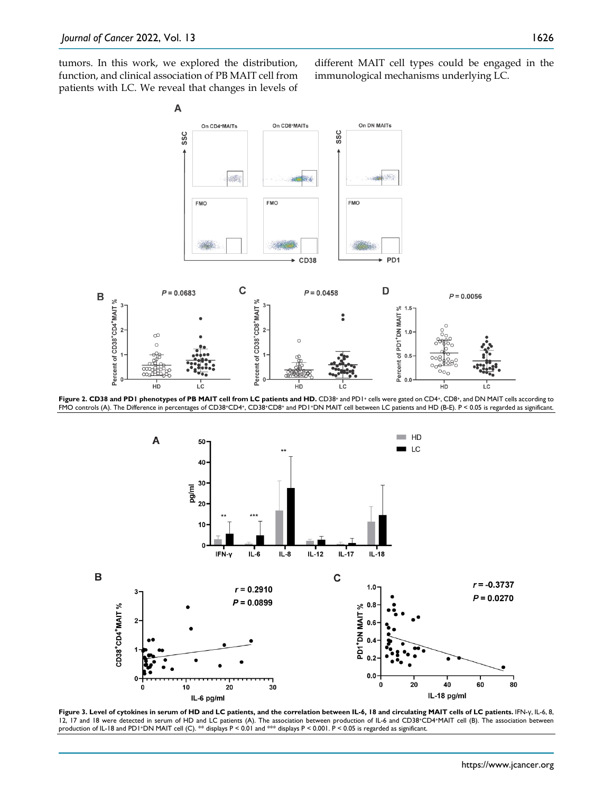tumors. In this work, we explored the distribution, function, and clinical association of PB MAIT cell from patients with LC. We reveal that changes in levels of different MAIT cell types could be engaged in the immunological mechanisms underlying LC.



Figure 2. CD38 and PD1 phenotypes of PB MAIT cell from LC patients and HD. CD38<sup>+</sup> and PD1<sup>+</sup> cells were gated on CD4<sup>+</sup>, CD8<sup>+</sup>, and DN MAIT cells according to FMO controls (A). The Difference in percentages of CD38+CD4+, CD38+CD8+ and PD1+DN MAIT cell between LC patients and HD (B-E). P < 0.05 is regarded as significant.



**Figure 3. Level of cytokines in serum of HD and LC patients, and the correlation between IL-6, 18 and circulating MAIT cells of LC patients.** IFN-γ, IL-6, 8, 12, 17 and 18 were detected in serum of HD and LC patients (A). The association between production of IL-6 and CD38+CD4+MAIT cell (B). The association between production of IL-18 and PD1+DN MAIT cell (C). \*\* displays P < 0.01 and \*\*\* displays P < 0.001. P < 0.05 is regarded as significant.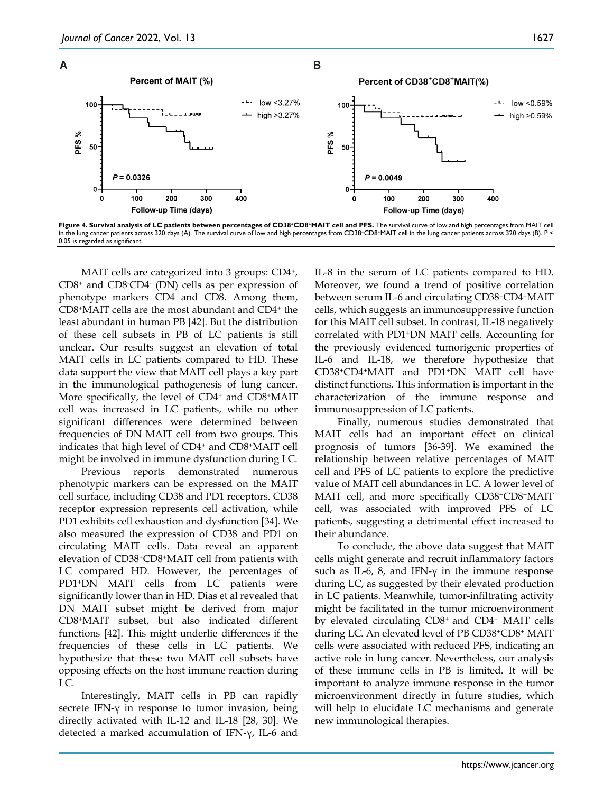



MAIT cells are categorized into 3 groups: CD4<sup>+</sup>, CD8+ and CD8- CD4- (DN) cells as per expression of phenotype markers CD4 and CD8. Among them, CD8+MAIT cells are the most abundant and CD4+ the least abundant in human PB [42]. But the distribution of these cell subsets in PB of LC patients is still unclear. Our results suggest an elevation of total MAIT cells in LC patients compared to HD. These data support the view that MAIT cell plays a key part in the immunological pathogenesis of lung cancer. More specifically, the level of CD4<sup>+</sup> and CD8<sup>+</sup>MAIT cell was increased in LC patients, while no other significant differences were determined between frequencies of DN MAIT cell from two groups. This indicates that high level of CD4+ and CD8+MAIT cell might be involved in immune dysfunction during LC.

Previous reports demonstrated numerous phenotypic markers can be expressed on the MAIT cell surface, including CD38 and PD1 receptors. CD38 receptor expression represents cell activation, while PD1 exhibits cell exhaustion and dysfunction [34]. We also measured the expression of CD38 and PD1 on circulating MAIT cells. Data reveal an apparent elevation of CD38+CD8+MAIT cell from patients with LC compared HD. However, the percentages of PD1+DN MAIT cells from LC patients were significantly lower than in HD. Dias et al revealed that DN MAIT subset might be derived from major CD8+MAIT subset, but also indicated different functions [42]. This might underlie differences if the frequencies of these cells in LC patients. We hypothesize that these two MAIT cell subsets have opposing effects on the host immune reaction during LC.

Interestingly, MAIT cells in PB can rapidly secrete IFN- $\gamma$  in response to tumor invasion, being directly activated with IL-12 and IL-18 [28, 30]. We detected a marked accumulation of IFN-γ, IL-6 and IL-8 in the serum of LC patients compared to HD. Moreover, we found a trend of positive correlation between serum IL-6 and circulating CD38+CD4+MAIT cells, which suggests an immunosuppressive function for this MAIT cell subset. In contrast, IL-18 negatively correlated with PD1+DN MAIT cells. Accounting for the previously evidenced tumorigenic properties of IL-6 and IL-18, we therefore hypothesize that CD38+CD4+MAIT and PD1+DN MAIT cell have distinct functions. This information is important in the characterization of the immune response and immunosuppression of LC patients.

Finally, numerous studies demonstrated that MAIT cells had an important effect on clinical prognosis of tumors [36-39]. We examined the relationship between relative percentages of MAIT cell and PFS of LC patients to explore the predictive value of MAIT cell abundances in LC. A lower level of MAIT cell, and more specifically CD38+CD8+MAIT cell, was associated with improved PFS of LC patients, suggesting a detrimental effect increased to their abundance.

To conclude, the above data suggest that MAIT cells might generate and recruit inflammatory factors such as IL-6, 8, and IFN- $\gamma$  in the immune response during LC, as suggested by their elevated production in LC patients. Meanwhile, tumor-infiltrating activity might be facilitated in the tumor microenvironment by elevated circulating CD8+ and CD4+ MAIT cells during LC. An elevated level of PB CD38+CD8+ MAIT cells were associated with reduced PFS, indicating an active role in lung cancer. Nevertheless, our analysis of these immune cells in PB is limited. It will be important to analyze immune response in the tumor microenvironment directly in future studies, which will help to elucidate LC mechanisms and generate new immunological therapies.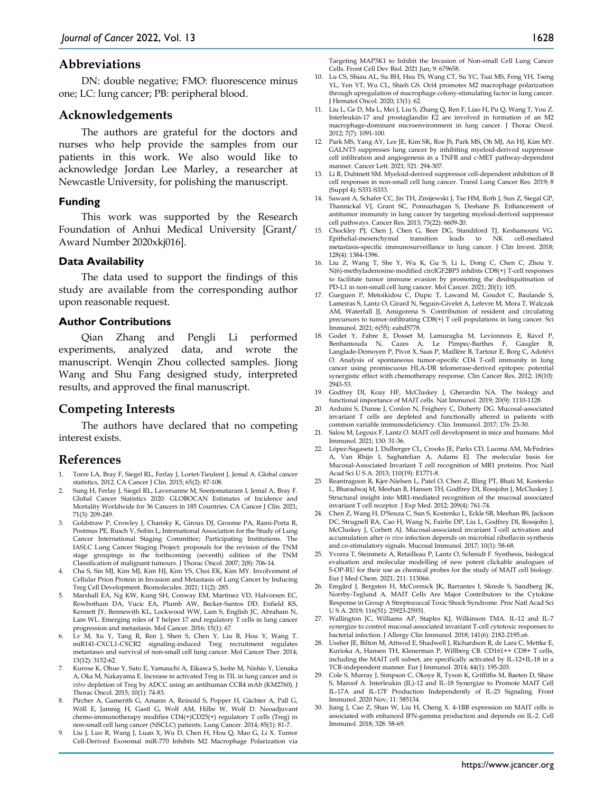#### **Abbreviations**

DN: double negative; FMO: fluorescence minus one; LC: lung cancer; PB: peripheral blood.

#### **Acknowledgements**

The authors are grateful for the doctors and nurses who help provide the samples from our patients in this work. We also would like to acknowledge Jordan Lee Marley, a researcher at Newcastle University, for polishing the manuscript.

#### **Funding**

This work was supported by the Research Foundation of Anhui Medical University [Grant/ Award Number 2020xkj016].

#### **Data Availability**

The data used to support the findings of this study are available from the corresponding author upon reasonable request.

#### **Author Contributions**

Qian Zhang and Pengli Li performed experiments, analyzed data, and wrote the manuscript. Wenqin Zhou collected samples. Jiong Wang and Shu Fang designed study, interpreted results, and approved the final manuscript.

## **Competing Interests**

The authors have declared that no competing interest exists.

#### **References**

- 1. Torre LA, Bray F, Siegel RL, Ferlay J, Lortet-Tieulent J, Jemal A. Global cancer statistics, 2012. CA Cancer J Clin. 2015; 65(2): 87-108.
- 2. Sung H, Ferlay J, Siegel RL, Laversanne M, Soerjomataram I, Jemal A, Bray F. Global Cancer Statistics 2020: GLOBOCAN Estimates of Incidence and Mortality Worldwide for 36 Cancers in 185 Countries. CA Cancer J Clin. 2021; 71(3): 209-249.
- 3. Goldstraw P, Crowley J, Chansky K, Giroux DJ, Groome PA, Rami-Porta R, Postmus PE, Rusch V, Sobin L; International Association for the Study of Lung Cancer International Staging Committee; Participating Institutions. IASLC Lung Cancer Staging Project: proposals for the revision of the TNM stage groupings in the forthcoming (seventh) edition of the TNM Classification of malignant tumours. J Thorac Oncol. 2007; 2(8): 706-14.
- 4. Cha S, Sin MJ, Kim MJ, Kim HJ, Kim YS, Choi EK, Kim MY. Involvement of Cellular Prion Protein in Invasion and Metastasis of Lung Cancer by Inducing Treg Cell Development. Biomolecules. 2021; 11(2): 285.
- 5. Marshall EA, Ng KW, Kung SH, Conway EM, Martinez VD, Halvorsen EC, Rowbotham DA, Vucic EA, Plumb AW, Becker-Santos DD, Enfield KS, Kennett JY, Bennewith KL, Lockwood WW, Lam S, English JC, Abraham N, Lam WL. Emerging roles of T helper 17 and regulatory T cells in lung cancer progression and metastasis. Mol Cancer. 2016; 15(1): 67.
- 6. Lv M, Xu Y, Tang R, Ren J, Shen S, Chen Y, Liu B, Hou Y, Wang T. miR141-CXCL1-CXCR2 signaling-induced Treg recruitment regulates metastases and survival of non-small cell lung cancer. Mol Cancer Ther. 2014; 13(12): 3152-62.
- 7. Kurose K, Ohue Y, Sato E, Yamauchi A, Eikawa S, Isobe M, Nishio Y, Uenaka A, Oka M, Nakayama E. Increase in activated Treg in TIL in lung cancer and *in vitro* depletion of Treg by ADCC using an antihuman CCR4 mAb (KM2760). J Thorac Oncol. 2015; 10(1): 74-83.
- 8. Pircher A, Gamerith G, Amann A, Reinold S, Popper H, Gächter A, Pall G, Wöll E, Jamnig H, Gastl G, Wolf AM, Hilbe W, Wolf D. Neoadjuvant chemo-immunotherapy modifies CD4(+)CD25(+) regulatory T cells (Treg) in non-small cell lung cancer (NSCLC) patients. Lung Cancer. 2014; 85(1): 81-7.
- 9. Liu J, Luo R, Wang J, Luan X, Wu D, Chen H, Hou Q, Mao G, Li X. Tumor Cell-Derived Exosomal miR-770 Inhibits M2 Macrophage Polarization via

Targeting MAP3K1 to Inhibit the Invasion of Non-small Cell Lung Cancer Cells. Front Cell Dev Biol. 2021 Jun; 9: 679658.

- 10. Lu CS, Shiau AL, Su BH, Hsu TS, Wang CT, Su YC, Tsai MS, Feng YH, Tseng YL, Yen YT, Wu CL, Shieh GS. Oct4 promotes M2 macrophage polarization through upregulation of macrophage colony-stimulating factor in lung cancer. J Hematol Oncol. 2020; 13(1): 62.
- 11. Liu L, Ge D, Ma L, Mei J, Liu S, Zhang Q, Ren F, Liao H, Pu Q, Wang T, You Z. Interleukin-17 and prostaglandin E2 are involved in formation of an M2 macrophage-dominant microenvironment in lung cancer. J Thorac Oncol. 2012; 7(7): 1091-100.
- 12. Park MS, Yang AY, Lee JE, Kim SK, Roe JS, Park MS, Oh MJ, An HJ, Kim MY. GALNT3 suppresses lung cancer by inhibiting myeloid-derived suppressor cell infiltration and angiogenesis in a TNFR and c-MET pathway-dependent manner. Cancer Lett. 2021; 521: 294-307.
- 13. Li R, Dubinett SM. Myeloid-derived suppressor cell-dependent inhibition of B cell responses in non-small cell lung cancer. Transl Lung Cancer Res. 2019; 8 (Suppl 4): S331-S333.
- 14. Sawant A, Schafer CC, Jin TH, Zmijewski J, Tse HM, Roth J, Sun Z, Siegal GP, Thannickal VJ, Grant SC, Ponnazhagan S, Deshane JS. Enhancement of antitumor immunity in lung cancer by targeting myeloid-derived suppressor cell pathways. Cancer Res. 2013; 73(22): 6609-20.
- 15. Chockley PJ, Chen J, Chen G, Beer DG, Standiford TJ, Keshamouni VG. Epithelial-mesenchymal transition leads to NK cell-mediated metastasis-specific immunosurveillance in lung cancer. J Clin Invest. 2018; 128(4): 1384-1396.
- 16. Liu Z, Wang T, She Y, Wu K, Gu S, Li L, Dong C, Chen C, Zhou Y. N(6)-methyladenosine-modified circIGF2BP3 inhibits CD8(+) T-cell responses to facilitate tumor immune evasion by promoting the deubiquitination of PD-L1 in non-small cell lung cancer. Mol Cancer. 2021; 20(1): 105.
- 17. Gueguen P, Metoikidou C, Dupic T, Lawand M, Goudot C, Baulande S, Lameiras S, Lantz O, Girard N, Seguin-Givelet A, Lefevre M, Mora T, Walczak AM, Waterfall JJ, Amigorena S. Contribution of resident and circulating precursors to tumor-infiltrating CD8(+) T cell populations in lung cancer. Sci Immunol. 2021; 6(55): eabd5778.
- 18. Godet Y, Fabre E, Dosset M, Lamuraglia M, Levionnois E, Ravel P, Benhamouda N, Cazes A, Le Pimpec-Barthes F, Gaugler B, Langlade-Demoyen P, Pivot X, Saas P, Maillère B, Tartour E, Borg C, Adotévi O. Analysis of spontaneous tumor-specific CD4 T-cell immunity in lung cancer using promiscuous HLA-DR telomerase-derived epitopes: potential synergistic effect with chemotherapy response. Clin Cancer Res. 2012; 18(10): 2943-53.
- 19. Godfrey DI, Koay HF, McCluskey J, Gherardin NA. The biology and functional importance of MAIT cells. Nat Immunol. 2019; 20(9): 1110-1128.
- 20. Arduini S, Dunne J, Conlon N, Feighery C, Doherty DG. Mucosal-associated invariant T cells are depleted and functionally altered in patients with common variable immunodeficiency. Clin. Immunol. 2017; 176: 23-30.
- 21. Salou M, Legoux F, Lantz O. MAIT cell development in mice and humans. Mol Immunol. 2021; 130: 31-36.
- 22. López-Sagaseta J, Dulberger CL, Crooks JE, Parks CD, Luoma AM, McFedries A, Van Rhijn I, Saghatelian A, Adams EJ. The molecular basis for Mucosal-Associated Invariant T cell recognition of MR1 proteins. Proc Natl Acad Sci U S A. 2013; 110(19): E1771-8.
- 23. Reantragoon R, Kjer-Nielsen L, Patel O, Chen Z, Illing PT, Bhati M, Kostenko L, Bharadwaj M, Meehan B, Hansen TH, Godfrey DI, Rossjohn J, McCluskey J. Structural insight into MR1-mediated recognition of the mucosal associated invariant T cell receptor. J Exp Med. 2012; 209(4): 761-74.
- 24. Chen Z, Wang H, D'Souza C, Sun S, Kostenko L, Eckle SB, Meehan BS, Jackson DC, Strugnell RA, Cao H, Wang N, Fairlie DP, Liu L, Godfrey DI, Rossjohn J, McCluskey J, Corbett AJ. Mucosal-associated invariant T-cell activation and accumulation after *in vivo* infection depends on microbial riboflavin synthesis and co-stimulatory signals. Mucosal Immunol. 2017; 10(1): 58-68.
- 25. Yvorra T, Steinmetz A, Retailleau P, Lantz O, Schmidt F. Synthesis, biological evaluation and molecular modelling of new potent clickable analogues of 5-OP-RU for their use as chemical probes for the study of MAIT cell biology. Eur J Med Chem. 2021; 211: 113066.
- 26. Emgård J, Bergsten H, McCormick JK, Barrantes I, Skrede S, Sandberg JK, Norrby-Teglund A. MAIT Cells Are Major Contributors to the Cytokine Response in Group A Streptococcal Toxic Shock Syndrome. Proc Natl Acad Sci U S A. 2019; 116(51): 25923-25931.
- 27. Wallington JC, Williams AP, Staples KJ, Wilkinson TMA. IL-12 and IL-7 synergize to control mucosal-associated invariant T-cell cytotoxic responses to bacterial infection. J Allergy Clin Immunol. 2018; 141(6): 2182-2195.e6.
- 28. Ussher JE, Bilton M, Attwod E, Shadwell J, Richardson R, de Lara C, Mettke E, Kurioka A, Hansen TH, Klenerman P, Willberg CB. CD161++ CD8+ T cells, including the MAIT cell subset, are specifically activated by IL-12+IL-18 in a TCR-independent manner. Eur J Immunol. 2014; 44(1): 195-203.
- 29. Cole S, Murray J, Simpson C, Okoye R, Tyson K, Griffiths M, Baeten D, Shaw S, Maroof A. Interleukin (IL)-12 and IL-18 Synergize to Promote MAIT Cell IL-17A and IL-17F Production Independently of IL-23 Signaling. Front Immunol. 2020 Nov; 11: 585134.
- 30. Jiang J, Cao Z, Shan W, Liu H, Cheng X. 4-1BB expression on MAIT cells is associated with enhanced IFN-gamma production and depends on IL-2. Cell Immunol. 2018; 328: 58-69.